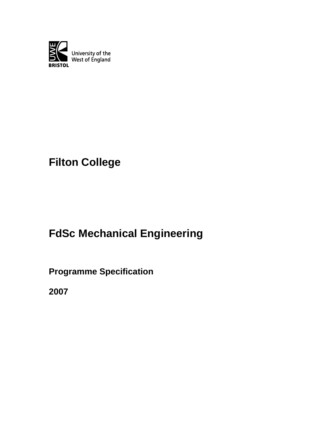

# **Filton College**

# **FdSc Mechanical Engineering**

**Programme Specification**

**2007**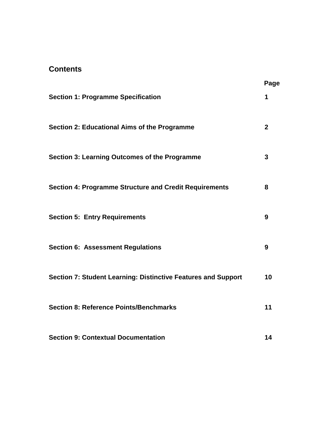# **Contents**

|                                                               | Page           |
|---------------------------------------------------------------|----------------|
| <b>Section 1: Programme Specification</b>                     | 1              |
| Section 2: Educational Aims of the Programme                  | $\overline{2}$ |
| <b>Section 3: Learning Outcomes of the Programme</b>          | 3              |
| <b>Section 4: Programme Structure and Credit Requirements</b> | 8              |
| <b>Section 5: Entry Requirements</b>                          | 9              |
| <b>Section 6: Assessment Regulations</b>                      | 9              |
| Section 7: Student Learning: Distinctive Features and Support | 10             |
| <b>Section 8: Reference Points/Benchmarks</b>                 | 11             |
| <b>Section 9: Contextual Documentation</b>                    | 14             |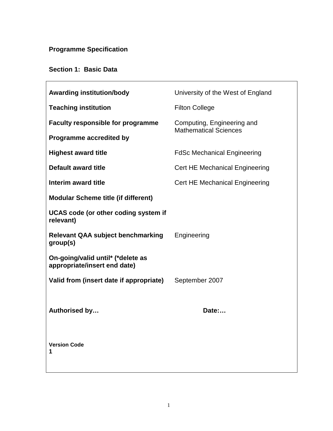# **Programme Specification**

# **Section 1: Basic Data**

| <b>Awarding institution/body</b>                                  | University of the West of England                          |  |
|-------------------------------------------------------------------|------------------------------------------------------------|--|
| <b>Teaching institution</b>                                       | <b>Filton College</b>                                      |  |
| <b>Faculty responsible for programme</b>                          | Computing, Engineering and<br><b>Mathematical Sciences</b> |  |
| <b>Programme accredited by</b>                                    |                                                            |  |
| <b>Highest award title</b>                                        | <b>FdSc Mechanical Engineering</b>                         |  |
| <b>Default award title</b>                                        | <b>Cert HE Mechanical Engineering</b>                      |  |
| Interim award title                                               | <b>Cert HE Mechanical Engineering</b>                      |  |
| <b>Modular Scheme title (if different)</b>                        |                                                            |  |
| <b>UCAS code (or other coding system if</b><br>relevant)          |                                                            |  |
| <b>Relevant QAA subject benchmarking</b><br>group(s)              | Engineering                                                |  |
| On-going/valid until* (*delete as<br>appropriate/insert end date) |                                                            |  |
| Valid from (insert date if appropriate)                           | September 2007                                             |  |
| Authorised by                                                     | Date:                                                      |  |
| <b>Version Code</b><br>1                                          |                                                            |  |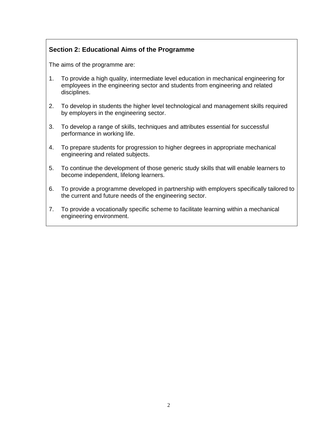# **Section 2: Educational Aims of the Programme**

The aims of the programme are:

- 1. To provide a high quality, intermediate level education in mechanical engineering for employees in the engineering sector and students from engineering and related disciplines.
- 2. To develop in students the higher level technological and management skills required by employers in the engineering sector.
- 3. To develop a range of skills, techniques and attributes essential for successful performance in working life.
- 4. To prepare students for progression to higher degrees in appropriate mechanical engineering and related subjects.
- 5. To continue the development of those generic study skills that will enable learners to become independent, lifelong learners.
- 6. To provide a programme developed in partnership with employers specifically tailored to the current and future needs of the engineering sector.
- 7. To provide a vocationally specific scheme to facilitate learning within a mechanical engineering environment.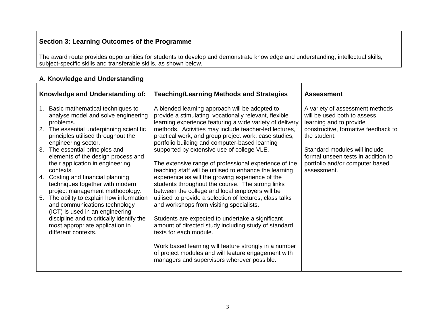# **Section 3: Learning Outcomes of the Programme**

The award route provides opportunities for students to develop and demonstrate knowledge and understanding, intellectual skills, subject-specific skills and transferable skills, as shown below.

# **A. Knowledge and Understanding**

|    | Knowledge and Understanding of:                                                                                                        | <b>Teaching/Learning Methods and Strategies</b>                                                                                                                      | <b>Assessment</b>                                                                                      |
|----|----------------------------------------------------------------------------------------------------------------------------------------|----------------------------------------------------------------------------------------------------------------------------------------------------------------------|--------------------------------------------------------------------------------------------------------|
| 1. | Basic mathematical techniques to<br>analyse model and solve engineering<br>problems.                                                   | A blended learning approach will be adopted to<br>provide a stimulating, vocationally relevant, flexible<br>learning experience featuring a wide variety of delivery | A variety of assessment methods<br>will be used both to assess<br>learning and to provide              |
| 2. | The essential underpinning scientific<br>principles utilised throughout the<br>engineering sector.                                     | methods. Activities may include teacher-led lectures,<br>practical work, and group project work, case studies,<br>portfolio building and computer-based learning     | constructive, formative feedback to<br>the student.                                                    |
|    | 3. The essential principles and<br>elements of the design process and<br>their application in engineering                              | supported by extensive use of college VLE.<br>The extensive range of professional experience of the                                                                  | Standard modules will include<br>formal unseen tests in addition to<br>portfolio and/or computer based |
| 4. | contexts.<br>Costing and financial planning<br>techniques together with modern                                                         | teaching staff will be utilised to enhance the learning<br>experience as will the growing experience of the<br>students throughout the course. The strong links      | assessment.                                                                                            |
| 5. | project management methodology.<br>The ability to explain how information<br>and communications technology                             | between the college and local employers will be<br>utilised to provide a selection of lectures, class talks<br>and workshops from visiting specialists.              |                                                                                                        |
|    | (ICT) is used in an engineering<br>discipline and to critically identify the<br>most appropriate application in<br>different contexts. | Students are expected to undertake a significant<br>amount of directed study including study of standard<br>texts for each module.                                   |                                                                                                        |
|    |                                                                                                                                        | Work based learning will feature strongly in a number<br>of project modules and will feature engagement with<br>managers and supervisors wherever possible.          |                                                                                                        |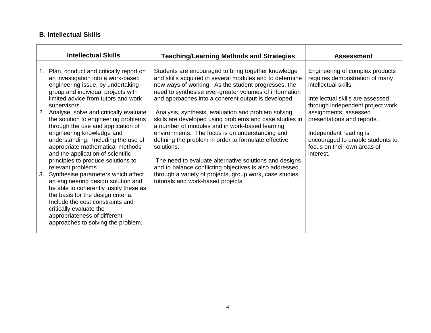### **B. Intellectual Skills**

|    | <b>Intellectual Skills</b>                                                                                                                                                                                                                                                                                              | <b>Teaching/Learning Methods and Strategies</b>                                                                                                                                                                                                                                                                                                     | <b>Assessment</b>                                                                                                                                                                                  |
|----|-------------------------------------------------------------------------------------------------------------------------------------------------------------------------------------------------------------------------------------------------------------------------------------------------------------------------|-----------------------------------------------------------------------------------------------------------------------------------------------------------------------------------------------------------------------------------------------------------------------------------------------------------------------------------------------------|----------------------------------------------------------------------------------------------------------------------------------------------------------------------------------------------------|
| 1. | Plan, conduct and critically report on<br>an investigation into a work-based<br>engineering issue, by undertaking<br>group and individual projects with<br>limited advice from tutors and work                                                                                                                          | Students are encouraged to bring together knowledge<br>and skills acquired in several modules and to determine<br>new ways of working. As the student progresses, the<br>need to synthesise ever-greater volumes of information<br>and approaches into a coherent output is developed.                                                              | Engineering of complex products<br>requires demonstration of many<br>intellectual skills.<br>Intellectual skills are assessed                                                                      |
| 2. | supervisors.<br>Analyse, solve and critically evaluate<br>the solution to engineering problems<br>through the use and application of<br>engineering knowledge and<br>understanding. Including the use of<br>appropriate mathematical methods<br>and the application of scientific<br>principles to produce solutions to | Analysis, synthesis, evaluation and problem solving<br>skills are developed using problems and case studies in<br>a number of modules and in work-based learning<br>environments. The focus is on understanding and<br>defining the problem in order to formulate effective<br>solutions.<br>The need to evaluate alternative solutions and designs | through independent project work,<br>assignments, assessed<br>presentations and reports.<br>Independent reading is<br>encouraged to enable students to<br>focus on their own areas of<br>interest. |
| 3. | relevant problems.<br>Synthesise parameters which affect<br>an engineering design solution and<br>be able to coherently justify these as<br>the basis for the design criteria.<br>Include the cost constraints and<br>critically evaluate the<br>appropriateness of different<br>approaches to solving the problem.     | and to balance conflicting objectives is also addressed<br>through a variety of projects, group work, case studies,<br>tutorials and work-based projects.                                                                                                                                                                                           |                                                                                                                                                                                                    |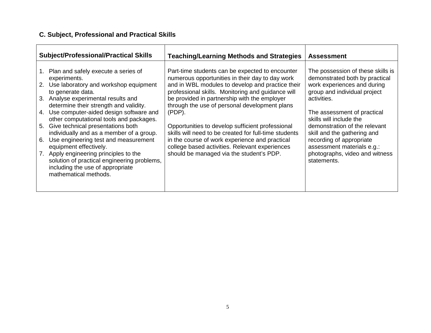# **C. Subject, Professional and Practical Skills**

| <b>Subject/Professional/Practical Skills</b>                                                                                                                                                                                                                                                                                                                                                                                                                                                                                                                                                                                           | <b>Teaching/Learning Methods and Strategies</b>                                                                                                                                                                                                                                                                                                                                                                                                                                                                                                                                        | <b>Assessment</b>                                                                                                                                                                                                                                                                                                                                                                      |
|----------------------------------------------------------------------------------------------------------------------------------------------------------------------------------------------------------------------------------------------------------------------------------------------------------------------------------------------------------------------------------------------------------------------------------------------------------------------------------------------------------------------------------------------------------------------------------------------------------------------------------------|----------------------------------------------------------------------------------------------------------------------------------------------------------------------------------------------------------------------------------------------------------------------------------------------------------------------------------------------------------------------------------------------------------------------------------------------------------------------------------------------------------------------------------------------------------------------------------------|----------------------------------------------------------------------------------------------------------------------------------------------------------------------------------------------------------------------------------------------------------------------------------------------------------------------------------------------------------------------------------------|
| Plan and safely execute a series of<br>$1_{-}$<br>experiments.<br>Use laboratory and workshop equipment<br>2.<br>to generate data.<br>3. Analyse experimental results and<br>determine their strength and validity.<br>Use computer-aided design software and<br>4.<br>other computational tools and packages.<br>Give technical presentations both<br>5.<br>individually and as a member of a group.<br>Use engineering test and measurement<br>6.<br>equipment effectively.<br>Apply engineering principles to the<br>7.<br>solution of practical engineering problems,<br>including the use of appropriate<br>mathematical methods. | Part-time students can be expected to encounter<br>numerous opportunities in their day to day work<br>and in WBL modules to develop and practice their<br>professional skills. Monitoring and guidance will<br>be provided in partnership with the employer<br>through the use of personal development plans<br>$(PDP)$ .<br>Opportunities to develop sufficient professional<br>skills will need to be created for full-time students<br>in the course of work experience and practical<br>college based activities. Relevant experiences<br>should be managed via the student's PDP. | The possession of these skills is<br>demonstrated both by practical<br>work experiences and during<br>group and individual project<br>activities.<br>The assessment of practical<br>skills will include the<br>demonstration of the relevant<br>skill and the gathering and<br>recording of appropriate<br>assessment materials e.g.:<br>photographs, video and witness<br>statements. |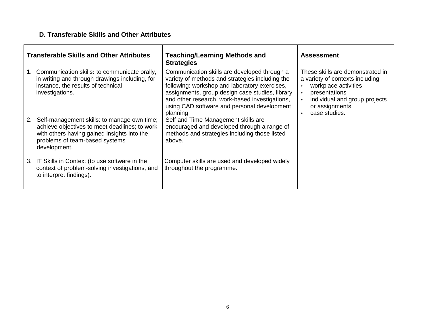# **D. Transferable Skills and Other Attributes**

|    | <b>Transferable Skills and Other Attributes</b>                                                                                                                                               | <b>Teaching/Learning Methods and</b><br><b>Strategies</b>                                                                                                                                                                                                                                                         | <b>Assessment</b>                                                                                                                                                                                                                    |
|----|-----------------------------------------------------------------------------------------------------------------------------------------------------------------------------------------------|-------------------------------------------------------------------------------------------------------------------------------------------------------------------------------------------------------------------------------------------------------------------------------------------------------------------|--------------------------------------------------------------------------------------------------------------------------------------------------------------------------------------------------------------------------------------|
| 1. | Communication skills: to communicate orally,<br>in writing and through drawings including, for<br>instance, the results of technical<br>investigations.                                       | Communication skills are developed through a<br>variety of methods and strategies including the<br>following: workshop and laboratory exercises,<br>assignments, group design case studies, library<br>and other research, work-based investigations,<br>using CAD software and personal development<br>planning. | These skills are demonstrated in<br>a variety of contexts including<br>workplace activities<br>$\bullet$<br>presentations<br>$\bullet$<br>individual and group projects<br>$\bullet$<br>or assignments<br>case studies.<br>$\bullet$ |
| 2. | Self-management skills: to manage own time;<br>achieve objectives to meet deadlines; to work<br>with others having gained insights into the<br>problems of team-based systems<br>development. | Self and Time Management skills are<br>encouraged and developed through a range of<br>methods and strategies including those listed<br>above.                                                                                                                                                                     |                                                                                                                                                                                                                                      |
| 3. | IT Skills in Context (to use software in the<br>context of problem-solving investigations, and<br>to interpret findings).                                                                     | Computer skills are used and developed widely<br>throughout the programme.                                                                                                                                                                                                                                        |                                                                                                                                                                                                                                      |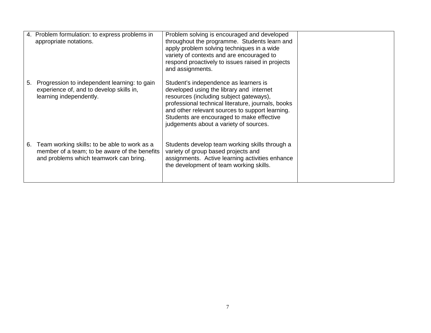|    | 4. Problem formulation: to express problems in<br>appropriate notations.                                                                | Problem solving is encouraged and developed<br>throughout the programme. Students learn and<br>apply problem solving techniques in a wide<br>variety of contexts and are encouraged to<br>respond proactively to issues raised in projects<br>and assignments.                                                               |  |
|----|-----------------------------------------------------------------------------------------------------------------------------------------|------------------------------------------------------------------------------------------------------------------------------------------------------------------------------------------------------------------------------------------------------------------------------------------------------------------------------|--|
| 5. | Progression to independent learning: to gain<br>experience of, and to develop skills in,<br>learning independently.                     | Student's independence as learners is<br>developed using the library and internet<br>resources (including subject gateways),<br>professional technical literature, journals, books<br>and other relevant sources to support learning.<br>Students are encouraged to make effective<br>judgements about a variety of sources. |  |
| 6. | Team working skills: to be able to work as a<br>member of a team; to be aware of the benefits<br>and problems which teamwork can bring. | Students develop team working skills through a<br>variety of group based projects and<br>assignments. Active learning activities enhance<br>the development of team working skills.                                                                                                                                          |  |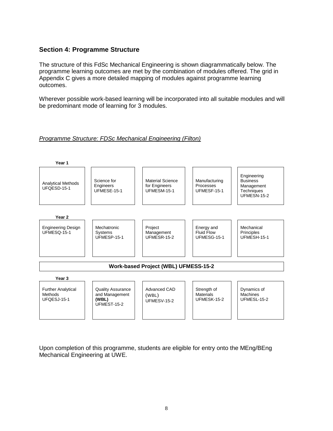#### **Section 4: Programme Structure**

The structure of this FdSc Mechanical Engineering is shown diagrammatically below. The programme learning outcomes are met by the combination of modules offered. The grid in Appendix C gives a more detailed mapping of modules against programme learning outcomes.

Wherever possible work-based learning will be incorporated into all suitable modules and will be predominant mode of learning for 3 modules.

#### Programme Structure: FDSc Mechanical Engineering (Filton)



Upon completion of this programme, students are eligible for entry onto the MEng/BEng Mechanical Engineering at UWE.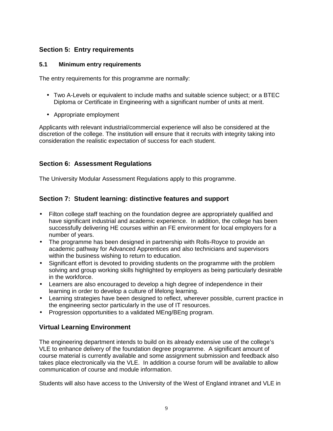# **Section 5: Entry requirements**

#### **5.1 Minimum entry requirements**

The entry requirements for this programme are normally:

- Two A-Levels or equivalent to include maths and suitable science subject; or a BTEC Diploma or Certificate in Engineering with a significant number of units at merit.
- Appropriate employment

Applicants with relevant industrial/commercial experience will also be considered at the discretion of the college. The institution will ensure that it recruits with integrity taking into consideration the realistic expectation of success for each student.

# **Section 6: Assessment Regulations**

The University Modular Assessment Regulations apply to this programme.

# **Section 7: Student learning: distinctive features and support**

- Filton college staff teaching on the foundation degree are appropriately qualified and have significant industrial and academic experience. In addition, the college has been successfully delivering HE courses within an FE environment for local employers for a number of years.
- The programme has been designed in partnership with Rolls-Royce to provide an academic pathway for Advanced Apprentices and also technicians and supervisors within the business wishing to return to education.
- Significant effort is devoted to providing students on the programme with the problem solving and group working skills highlighted by employers as being particularly desirable in the workforce.
- Learners are also encouraged to develop a high degree of independence in their learning in order to develop a culture of lifelong learning.
- Learning strategies have been designed to reflect, wherever possible, current practice in the engineering sector particularly in the use of IT resources.
- Progression opportunities to a validated MEng/BEng program.

# **Virtual Learning Environment**

The engineering department intends to build on its already extensive use of the college's VLE to enhance delivery of the foundation degree programme. A significant amount of course material is currently available and some assignment submission and feedback also takes place electronically via the VLE. In addition a course forum will be available to allow communication of course and module information.

Students will also have access to the University of the West of England intranet and VLE in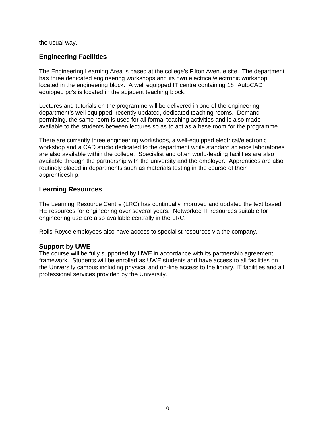the usual way.

# **Engineering Facilities**

The Engineering Learning Area is based at the college's Filton Avenue site. The department has three dedicated engineering workshops and its own electrical/electronic workshop located in the engineering block. A well equipped IT centre containing 18 "AutoCAD" equipped pc's is located in the adjacent teaching block.

Lectures and tutorials on the programme will be delivered in one of the engineering department's well equipped, recently updated, dedicated teaching rooms. Demand permitting, the same room is used for all formal teaching activities and is also made available to the students between lectures so as to act as a base room for the programme.

There are currently three engineering workshops, a well-equipped electrical/electronic workshop and a CAD studio dedicated to the department while standard science laboratories are also available within the college. Specialist and often world-leading facilities are also available through the partnership with the university and the employer. Apprentices are also routinely placed in departments such as materials testing in the course of their apprenticeship.

#### **Learning Resources**

The Learning Resource Centre (LRC) has continually improved and updated the text based HE resources for engineering over several years. Networked IT resources suitable for engineering use are also available centrally in the LRC.

Rolls-Royce employees also have access to specialist resources via the company.

#### **Support by UWE**

The course will be fully supported by UWE in accordance with its partnership agreement framework. Students will be enrolled as UWE students and have access to all facilities on the University campus including physical and on-line access to the library, IT facilities and all professional services provided by the University.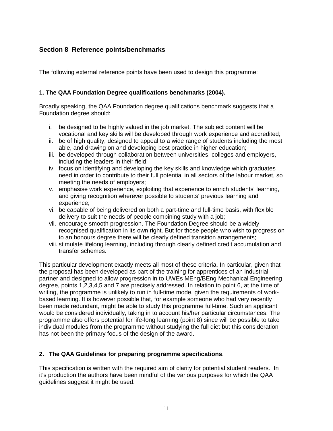# **Section 8 Reference points/benchmarks**

The following external reference points have been used to design this programme:

#### **1. The QAA Foundation Degree qualifications benchmarks (2004).**

Broadly speaking, the QAA Foundation degree qualifications benchmark suggests that a Foundation degree should:

- i. be designed to be highly valued in the job market. The subject content will be vocational and key skills will be developed through work experience and accredited;
- ii. be of high quality, designed to appeal to a wide range of students including the most able, and drawing on and developing best practice in higher education;
- iii. be developed through collaboration between universities, colleges and employers, including the leaders in their field;
- iv. focus on identifying and developing the key skills and knowledge which graduates need in order to contribute to their full potential in all sectors of the labour market, so meeting the needs of employers;
- v. emphasise work experience, exploiting that experience to enrich students' learning, and giving recognition wherever possible to students' previous learning and experience;
- vi. be capable of being delivered on both a part-time and full-time basis, with flexible delivery to suit the needs of people combining study with a job;
- vii. encourage smooth progression. The Foundation Degree should be a widely recognised qualification in its own right. But for those people who wish to progress on to an honours degree there will be clearly defined transition arrangements;
- viii. stimulate lifelong learning, including through clearly defined credit accumulation and transfer schemes.

This particular development exactly meets all most of these criteria. In particular, given that the proposal has been developed as part of the training for apprentices of an industrial partner and designed to allow progression in to UWEs MEng/BEng Mechanical Engineering degree, points 1,2,3,4,5 and 7 are precisely addressed. In relation to point 6, at the time of writing, the programme is unlikely to run in full-time mode, given the requirements of workbased learning. It is however possible that, for example someone who had very recently been made redundant, might be able to study this programme full-time. Such an applicant would be considered individually, taking in to account his/her particular circumstances. The programme also offers potential for life-long learning (point 8) since will be possible to take individual modules from the programme without studying the full diet but this consideration has not been the primary focus of the design of the award.

#### **2. The QAA Guidelines for preparing programme specifications**.

This specification is written with the required aim of clarity for potential student readers. In it's production the authors have been mindful of the various purposes for which the QAA guidelines suggest it might be used.